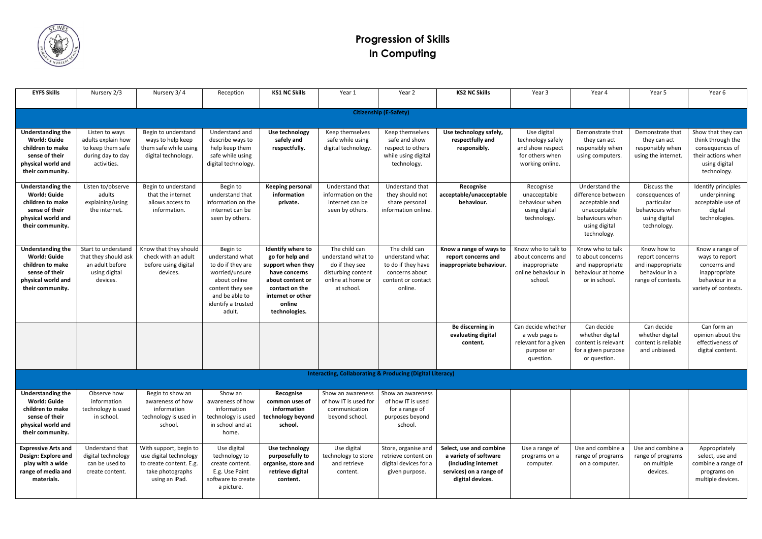

## **Progression of Skills In Computing**

| <b>EYFS Skills</b>                                                                                                              | Nursery 2/3                                                                                   | Nursery 3/4                                                                                                       | Reception                                                                                                                                                | <b>KS1 NC Skills</b>                                                                                                                                             | Year 1                                                                                                         | Year 2                                                                                                    | <b>KS2 NC Skills</b>                                                                                                   | Year 3                                                                                       | Year 4                                                                                                                    | Year 5                                                                                          | Year 6                                                                                                           |
|---------------------------------------------------------------------------------------------------------------------------------|-----------------------------------------------------------------------------------------------|-------------------------------------------------------------------------------------------------------------------|----------------------------------------------------------------------------------------------------------------------------------------------------------|------------------------------------------------------------------------------------------------------------------------------------------------------------------|----------------------------------------------------------------------------------------------------------------|-----------------------------------------------------------------------------------------------------------|------------------------------------------------------------------------------------------------------------------------|----------------------------------------------------------------------------------------------|---------------------------------------------------------------------------------------------------------------------------|-------------------------------------------------------------------------------------------------|------------------------------------------------------------------------------------------------------------------|
|                                                                                                                                 |                                                                                               |                                                                                                                   |                                                                                                                                                          |                                                                                                                                                                  |                                                                                                                |                                                                                                           |                                                                                                                        |                                                                                              |                                                                                                                           |                                                                                                 |                                                                                                                  |
| <b>Citizenship (E-Safety)</b>                                                                                                   |                                                                                               |                                                                                                                   |                                                                                                                                                          |                                                                                                                                                                  |                                                                                                                |                                                                                                           |                                                                                                                        |                                                                                              |                                                                                                                           |                                                                                                 |                                                                                                                  |
| <b>Understanding the</b><br><b>World: Guide</b><br>children to make<br>sense of their<br>physical world and<br>their community. | Listen to ways<br>adults explain how<br>to keep them safe<br>during day to day<br>activities. | Begin to understand<br>ways to help keep<br>them safe while using<br>digital technology.                          | Understand and<br>describe ways to<br>help keep them<br>safe while using<br>digital technology.                                                          | Use technology<br>safely and<br>respectfully.                                                                                                                    | Keep themselves<br>safe while using<br>digital technology.                                                     | Keep themselves<br>safe and show<br>respect to others<br>while using digital<br>technology.               | Use technology safely,<br>respectfully and<br>responsibly.                                                             | Use digital<br>technology safely<br>and show respect<br>for others when<br>working online.   | Demonstrate that<br>they can act<br>responsibly when<br>using computers.                                                  | Demonstrate that<br>they can act<br>responsibly when<br>using the internet.                     | Show that they can<br>think through the<br>consequences of<br>their actions when<br>using digital<br>technology. |
| <b>Understanding the</b><br><b>World: Guide</b><br>children to make<br>sense of their<br>physical world and<br>their community. | Listen to/observe<br>adults<br>explaining/using<br>the internet.                              | Begin to understand<br>that the internet<br>allows access to<br>information.                                      | Begin to<br>understand that<br>information on the<br>internet can be<br>seen by others.                                                                  | <b>Keeping personal</b><br>information<br>private.                                                                                                               | Understand that<br>information on the<br>internet can be<br>seen by others.                                    | Understand that<br>they should not<br>share personal<br>information online.                               | Recognise<br>acceptable/unacceptable<br>behaviour.                                                                     | Recognise<br>unacceptable<br>behaviour when<br>using digital<br>technology.                  | Understand the<br>difference between<br>acceptable and<br>unacceptable<br>behaviours when<br>using digital<br>technology. | Discuss the<br>consequences of<br>particular<br>behaviours when<br>using digital<br>technology. | Identify principles<br>underpinning<br>acceptable use of<br>digital<br>technologies.                             |
| <b>Understanding the</b><br><b>World: Guide</b><br>children to make<br>sense of their<br>physical world and<br>their community. | Start to understand<br>that they should ask<br>an adult before<br>using digital<br>devices.   | Know that they should<br>check with an adult<br>before using digital<br>devices.                                  | Begin to<br>understand what<br>to do if they are<br>worried/unsure<br>about online<br>content they see<br>and be able to<br>identify a trusted<br>adult. | Identify where to<br>go for help and<br>support when they<br>have concerns<br>about content or<br>contact on the<br>internet or other<br>online<br>technologies. | The child can<br>understand what to<br>do if they see<br>disturbing content<br>online at home or<br>at school. | The child can<br>understand what<br>to do if they have<br>concerns about<br>content or contact<br>online. | Know a range of ways to<br>report concerns and<br>inappropriate behaviour.                                             | Know who to talk to<br>about concerns and<br>inappropriate<br>online behaviour in<br>school. | Know who to talk<br>to about concerns<br>and inappropriate<br>behaviour at home<br>or in school.                          | Know how to<br>report concerns<br>and inappropriate<br>behaviour in a<br>range of contexts.     | Know a range of<br>ways to report<br>concerns and<br>inappropriate<br>behaviour in a<br>variety of contexts.     |
|                                                                                                                                 |                                                                                               |                                                                                                                   |                                                                                                                                                          |                                                                                                                                                                  |                                                                                                                |                                                                                                           | Be discerning in<br>evaluating digital<br>content.                                                                     | Can decide whether<br>a web page is<br>relevant for a given<br>purpose or<br>question.       | Can decide<br>whether digital<br>content is relevant<br>for a given purpose<br>or question.                               | Can decide<br>whether digital<br>content is reliable<br>and unbiased.                           | Can form an<br>opinion about the<br>effectiveness of<br>digital content.                                         |
| Interacting, Collaborating & Producing (Digital Literacy)                                                                       |                                                                                               |                                                                                                                   |                                                                                                                                                          |                                                                                                                                                                  |                                                                                                                |                                                                                                           |                                                                                                                        |                                                                                              |                                                                                                                           |                                                                                                 |                                                                                                                  |
| <b>Understanding the</b><br><b>World: Guide</b><br>children to make<br>sense of their<br>physical world and<br>their community. | Observe how<br>information<br>technology is used<br>in school.                                | Begin to show an<br>awareness of how<br>information<br>technology is used in<br>school.                           | Show an<br>awareness of how<br>information<br>technology is used<br>in school and at<br>home.                                                            | Recognise<br>common uses of<br>information<br>technology beyond<br>school.                                                                                       | Show an awareness<br>of how IT is used for<br>communication<br>beyond school.                                  | Show an awareness<br>of how IT is used<br>for a range of<br>purposes beyond<br>school.                    |                                                                                                                        |                                                                                              |                                                                                                                           |                                                                                                 |                                                                                                                  |
| <b>Expressive Arts and</b><br><b>Design: Explore and</b><br>play with a wide<br>range of media and<br>materials.                | Understand that<br>digital technology<br>can be used to<br>create content.                    | With support, begin to<br>use digital technology<br>to create content. E.g.<br>take photographs<br>using an iPad. | Use digital<br>technology to<br>create content.<br>E.g. Use Paint<br>software to create<br>a picture.                                                    | Use technology<br>purposefully to<br>organise, store and<br>retrieve digital<br>content.                                                                         | Use digital<br>technology to store<br>and retrieve<br>content.                                                 | Store, organise and<br>retrieve content on<br>digital devices for a<br>given purpose.                     | Select, use and combine<br>a variety of software<br>(including internet<br>services) on a range of<br>digital devices. | Use a range of<br>programs on a<br>computer.                                                 | Use and combine a<br>range of programs<br>on a computer.                                                                  | Use and combine a<br>range of programs<br>on multiple<br>devices.                               | Appropriately<br>select, use and<br>combine a range of<br>programs on<br>multiple devices.                       |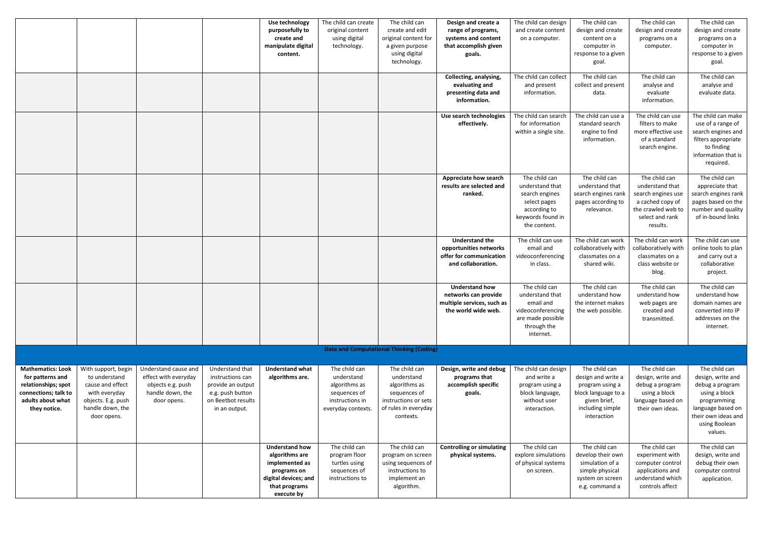|                                                                                                                                  |                                                                                                                                    |                                                                                                      |                                                                                                                     | Use technology<br>purposefully to<br>create and<br>manipulate digital<br>content.                                               | The child can create<br>original content<br>using digital<br>technology.                              | The child can<br>create and edit<br>original content for<br>a given purpose<br>using digital<br>technology.               | Design and create a<br>range of programs,<br>systems and content<br>that accomplish given<br>goals. | The child can design<br>and create content<br>on a computer.                                                            | The child can<br>design and create<br>content on a<br>computer in<br>response to a given<br>goal.                                | The child can<br>design and create<br>programs on a<br>computer.                                                                | The child can<br>design and create<br>programs on a<br>computer in<br>response to a given<br>goal.                                                            |
|----------------------------------------------------------------------------------------------------------------------------------|------------------------------------------------------------------------------------------------------------------------------------|------------------------------------------------------------------------------------------------------|---------------------------------------------------------------------------------------------------------------------|---------------------------------------------------------------------------------------------------------------------------------|-------------------------------------------------------------------------------------------------------|---------------------------------------------------------------------------------------------------------------------------|-----------------------------------------------------------------------------------------------------|-------------------------------------------------------------------------------------------------------------------------|----------------------------------------------------------------------------------------------------------------------------------|---------------------------------------------------------------------------------------------------------------------------------|---------------------------------------------------------------------------------------------------------------------------------------------------------------|
|                                                                                                                                  |                                                                                                                                    |                                                                                                      |                                                                                                                     |                                                                                                                                 |                                                                                                       |                                                                                                                           | Collecting, analysing,<br>evaluating and<br>presenting data and<br>information.                     | The child can collect<br>and present<br>information.                                                                    | The child can<br>collect and present<br>data.                                                                                    | The child can<br>analyse and<br>evaluate<br>information.                                                                        | The child can<br>analyse and<br>evaluate data.                                                                                                                |
|                                                                                                                                  |                                                                                                                                    |                                                                                                      |                                                                                                                     |                                                                                                                                 |                                                                                                       |                                                                                                                           | Use search technologies<br>effectively.                                                             | The child can search<br>for information<br>within a single site.                                                        | The child can use a<br>standard search<br>engine to find<br>information.                                                         | The child can use<br>filters to make<br>more effective use<br>of a standard<br>search engine.                                   | The child can make<br>use of a range of<br>search engines and<br>filters appropriate<br>to finding<br>information that is<br>required.                        |
|                                                                                                                                  |                                                                                                                                    |                                                                                                      |                                                                                                                     |                                                                                                                                 |                                                                                                       |                                                                                                                           | <b>Appreciate how search</b><br>results are selected and<br>ranked.                                 | The child can<br>understand that<br>search engines<br>select pages<br>according to<br>keywords found in<br>the content. | The child can<br>understand that<br>search engines rank<br>pages according to<br>relevance.                                      | The child can<br>understand that<br>search engines use<br>a cached copy of<br>the crawled web to<br>select and rank<br>results. | The child can<br>appreciate that<br>search engines rank<br>pages based on the<br>number and quality<br>of in-bound links                                      |
|                                                                                                                                  |                                                                                                                                    |                                                                                                      |                                                                                                                     |                                                                                                                                 |                                                                                                       |                                                                                                                           | <b>Understand the</b><br>opportunities networks<br>offer for communication<br>and collaboration.    | The child can use<br>email and<br>videoconferencing<br>in class.                                                        | The child can work<br>collaboratively with<br>classmates on a<br>shared wiki.                                                    | The child can work<br>collaboratively with<br>classmates on a<br>class website or<br>blog.                                      | The child can use<br>online tools to plan  <br>and carry out a<br>collaborative<br>project.                                                                   |
|                                                                                                                                  |                                                                                                                                    |                                                                                                      |                                                                                                                     |                                                                                                                                 |                                                                                                       |                                                                                                                           | <b>Understand how</b><br>networks can provide<br>multiple services, such as<br>the world wide web.  | The child can<br>understand that<br>email and<br>videoconferencing<br>are made possible<br>through the<br>internet.     | The child can<br>understand how<br>the internet makes<br>the web possible.                                                       | The child can<br>understand how<br>web pages are<br>created and<br>transmitted.                                                 | The child can<br>understand how<br>domain names are<br>converted into IP<br>addresses on the<br>internet.                                                     |
| <b>Data and Computational Thinking (Coding)</b>                                                                                  |                                                                                                                                    |                                                                                                      |                                                                                                                     |                                                                                                                                 |                                                                                                       |                                                                                                                           |                                                                                                     |                                                                                                                         |                                                                                                                                  |                                                                                                                                 |                                                                                                                                                               |
| <b>Mathematics: Look</b><br>for patterns and<br>relationships; spot<br>connections; talk to<br>adults about what<br>they notice. | With support, begin<br>to understand<br>cause and effect<br>with everyday<br>objects. E.g. push<br>handle down, the<br>door opens. | Understand cause and<br>effect with everyday<br>objects e.g. push<br>handle down, the<br>door opens. | Understand that<br>instructions can<br>provide an output<br>e.g. push button<br>on Beetbot results<br>in an output. | <b>Understand what</b><br>algorithms are.                                                                                       | The child can<br>understand<br>algorithms as<br>sequences of<br>instructions in<br>everyday contexts. | The child can<br>understand<br>algorithms as<br>sequences of<br>instructions or sets<br>of rules in everyday<br>contexts. | Design, write and debug<br>programs that<br>accomplish specific<br>goals.                           | The child can design<br>and write a<br>program using a<br>block language,<br>without user<br>interaction.               | The child can<br>design and write a<br>program using a<br>block language to a<br>given brief,<br>including simple<br>interaction | The child can<br>design, write and<br>debug a program<br>using a block<br>language based on<br>their own ideas.                 | The child can<br>design, write and<br>debug a program<br>using a block<br>programming<br>language based on<br>their own ideas and<br>using Boolean<br>values. |
|                                                                                                                                  |                                                                                                                                    |                                                                                                      |                                                                                                                     | <b>Understand how</b><br>algorithms are<br>implemented as<br>programs on<br>digital devices; and<br>that programs<br>execute by | The child can<br>program floor<br>turtles using<br>sequences of<br>instructions to                    | The child can<br>program on screen<br>using sequences of<br>instructions to<br>implement an<br>algorithm.                 | <b>Controlling or simulating</b><br>physical systems.                                               | The child can<br>explore simulations<br>of physical systems<br>on screen.                                               | The child can<br>develop their own<br>simulation of a<br>simple physical<br>system on screen<br>e.g. command a                   | The child can<br>experiment with<br>computer control<br>applications and<br>understand which<br>controls affect                 | The child can<br>design, write and<br>debug their own<br>computer control<br>application.                                                                     |